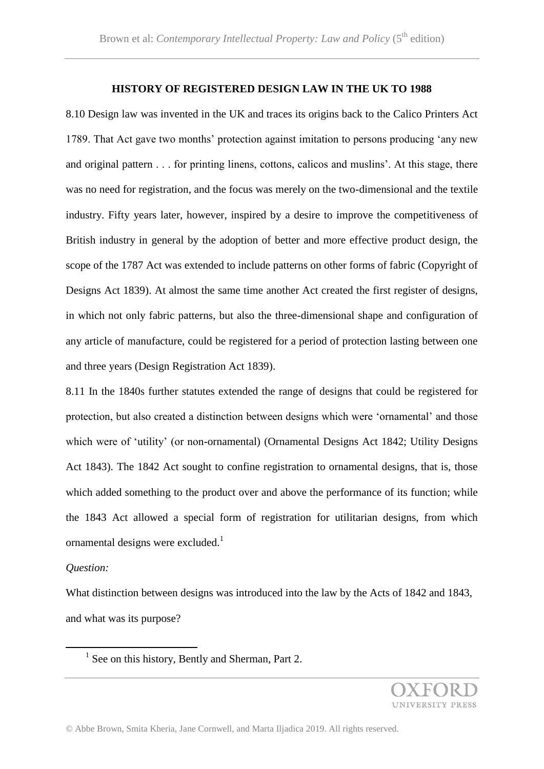#### **HISTORY OF REGISTERED DESIGN LAW IN THE UK TO 1988**

8.10 Design law was invented in the UK and traces its origins back to the Calico Printers Act 1789. That Act gave two months' protection against imitation to persons producing 'any new and original pattern . . . for printing linens, cottons, calicos and muslins'. At this stage, there was no need for registration, and the focus was merely on the two-dimensional and the textile industry. Fifty years later, however, inspired by a desire to improve the competitiveness of British industry in general by the adoption of better and more effective product design, the scope of the 1787 Act was extended to include patterns on other forms of fabric (Copyright of Designs Act 1839). At almost the same time another Act created the first register of designs, in which not only fabric patterns, but also the three-dimensional shape and configuration of any article of manufacture, could be registered for a period of protection lasting between one and three years (Design Registration Act 1839).

8.11 In the 1840s further statutes extended the range of designs that could be registered for protection, but also created a distinction between designs which were 'ornamental' and those which were of 'utility' (or non-ornamental) (Ornamental Designs Act 1842; Utility Designs Act 1843). The 1842 Act sought to confine registration to ornamental designs, that is, those which added something to the product over and above the performance of its function; while the 1843 Act allowed a special form of registration for utilitarian designs, from which ornamental designs were excluded.<sup>1</sup>

#### *Question:*

1

What distinction between designs was introduced into the law by the Acts of 1842 and 1843, and what was its purpose?

<sup>1</sup> See on this history, Bently and Sherman, Part 2.

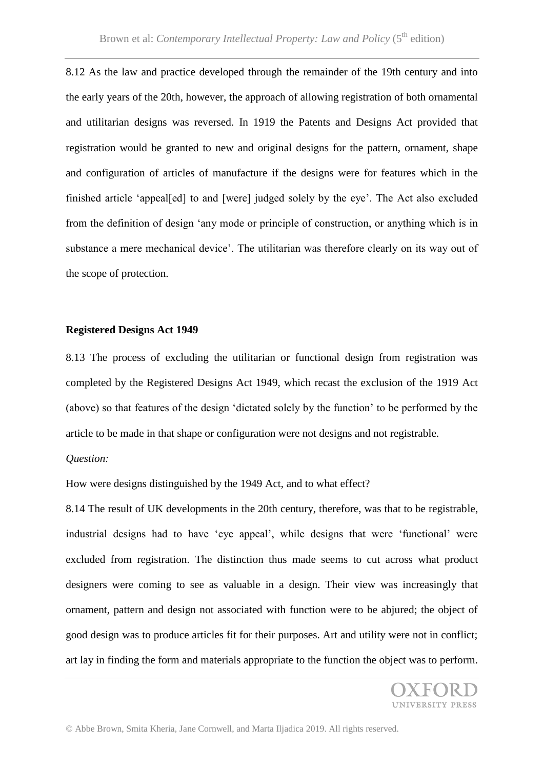8.12 As the law and practice developed through the remainder of the 19th century and into the early years of the 20th, however, the approach of allowing registration of both ornamental and utilitarian designs was reversed. In 1919 the Patents and Designs Act provided that registration would be granted to new and original designs for the pattern, ornament, shape and configuration of articles of manufacture if the designs were for features which in the finished article 'appeal[ed] to and [were] judged solely by the eye'. The Act also excluded from the definition of design 'any mode or principle of construction, or anything which is in substance a mere mechanical device'. The utilitarian was therefore clearly on its way out of the scope of protection.

#### **Registered Designs Act 1949**

8.13 The process of excluding the utilitarian or functional design from registration was completed by the Registered Designs Act 1949, which recast the exclusion of the 1919 Act (above) so that features of the design 'dictated solely by the function' to be performed by the article to be made in that shape or configuration were not designs and not registrable.

#### *Question:*

How were designs distinguished by the 1949 Act, and to what effect?

8.14 The result of UK developments in the 20th century, therefore, was that to be registrable, industrial designs had to have 'eye appeal', while designs that were 'functional' were excluded from registration. The distinction thus made seems to cut across what product designers were coming to see as valuable in a design. Their view was increasingly that ornament, pattern and design not associated with function were to be abjured; the object of good design was to produce articles fit for their purposes. Art and utility were not in conflict; art lay in finding the form and materials appropriate to the function the object was to perform.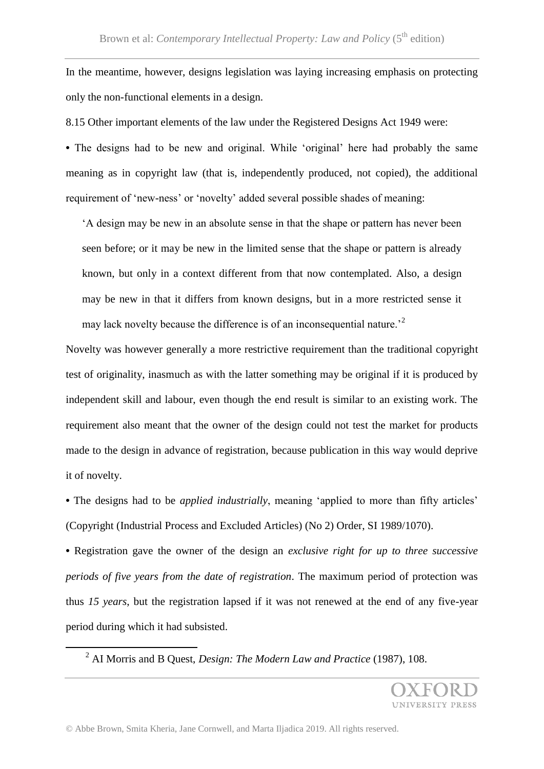In the meantime, however, designs legislation was laying increasing emphasis on protecting only the non-functional elements in a design.

8.15 Other important elements of the law under the Registered Designs Act 1949 were:

• The designs had to be new and original. While 'original' here had probably the same meaning as in copyright law (that is, independently produced, not copied), the additional requirement of 'new-ness' or 'novelty' added several possible shades of meaning:

'A design may be new in an absolute sense in that the shape or pattern has never been seen before; or it may be new in the limited sense that the shape or pattern is already known, but only in a context different from that now contemplated. Also, a design may be new in that it differs from known designs, but in a more restricted sense it may lack novelty because the difference is of an inconsequential nature.'<sup>2</sup>

Novelty was however generally a more restrictive requirement than the traditional copyright test of originality, inasmuch as with the latter something may be original if it is produced by independent skill and labour, even though the end result is similar to an existing work. The requirement also meant that the owner of the design could not test the market for products made to the design in advance of registration, because publication in this way would deprive it of novelty.

**•** The designs had to be *applied industrially*, meaning 'applied to more than fifty articles' (Copyright (Industrial Process and Excluded Articles) (No 2) Order, SI 1989/1070).

**•** Registration gave the owner of the design an *exclusive right for up to three successive periods of five years from the date of registration*. The maximum period of protection was thus *15 years*, but the registration lapsed if it was not renewed at the end of any five-year period during which it had subsisted.

<sup>2</sup> AI Morris and B Quest, *Design: The Modern Law and Practice* (1987), 108.

1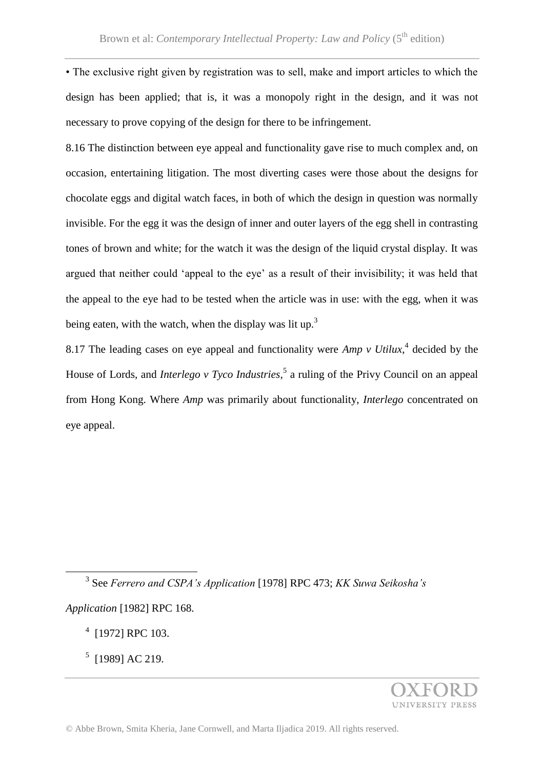• The exclusive right given by registration was to sell, make and import articles to which the design has been applied; that is, it was a monopoly right in the design, and it was not necessary to prove copying of the design for there to be infringement.

8.16 The distinction between eye appeal and functionality gave rise to much complex and, on occasion, entertaining litigation. The most diverting cases were those about the designs for chocolate eggs and digital watch faces, in both of which the design in question was normally invisible. For the egg it was the design of inner and outer layers of the egg shell in contrasting tones of brown and white; for the watch it was the design of the liquid crystal display. It was argued that neither could 'appeal to the eye' as a result of their invisibility; it was held that the appeal to the eye had to be tested when the article was in use: with the egg, when it was being eaten, with the watch, when the display was lit up.<sup>3</sup>

8.17 The leading cases on eye appeal and functionality were  $Amp \, v \, Utilux$ <sup>4</sup>, decided by the House of Lords, and *Interlego v Tyco Industries*, 5 a ruling of the Privy Council on an appeal from Hong Kong. Where *Amp* was primarily about functionality, *Interlego* concentrated on eye appeal.

3 See *Ferrero and CSPA's Application* [1978] RPC 473; *KK Suwa Seikosha's Application* [1982] RPC 168.

4 [1972] RPC 103.

1

5 [1989] AC 219.

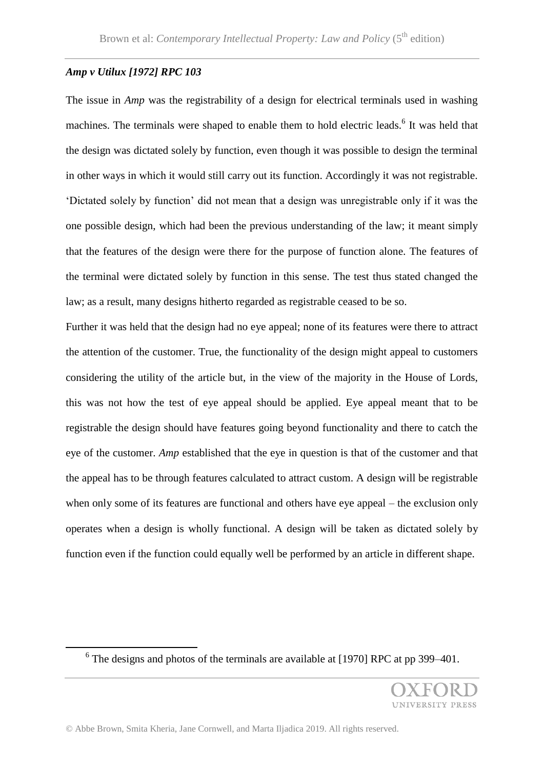# *Amp v Utilux [1972] RPC 103*

The issue in *Amp* was the registrability of a design for electrical terminals used in washing machines. The terminals were shaped to enable them to hold electric leads.<sup>6</sup> It was held that the design was dictated solely by function, even though it was possible to design the terminal in other ways in which it would still carry out its function. Accordingly it was not registrable. 'Dictated solely by function' did not mean that a design was unregistrable only if it was the one possible design, which had been the previous understanding of the law; it meant simply that the features of the design were there for the purpose of function alone. The features of the terminal were dictated solely by function in this sense. The test thus stated changed the law; as a result, many designs hitherto regarded as registrable ceased to be so.

Further it was held that the design had no eye appeal; none of its features were there to attract the attention of the customer. True, the functionality of the design might appeal to customers considering the utility of the article but, in the view of the majority in the House of Lords, this was not how the test of eye appeal should be applied. Eye appeal meant that to be registrable the design should have features going beyond functionality and there to catch the eye of the customer. *Amp* established that the eye in question is that of the customer and that the appeal has to be through features calculated to attract custom. A design will be registrable when only some of its features are functional and others have eye appeal – the exclusion only operates when a design is wholly functional. A design will be taken as dictated solely by function even if the function could equally well be performed by an article in different shape.

1

 $6$  The designs and photos of the terminals are available at [1970] RPC at pp 399–401.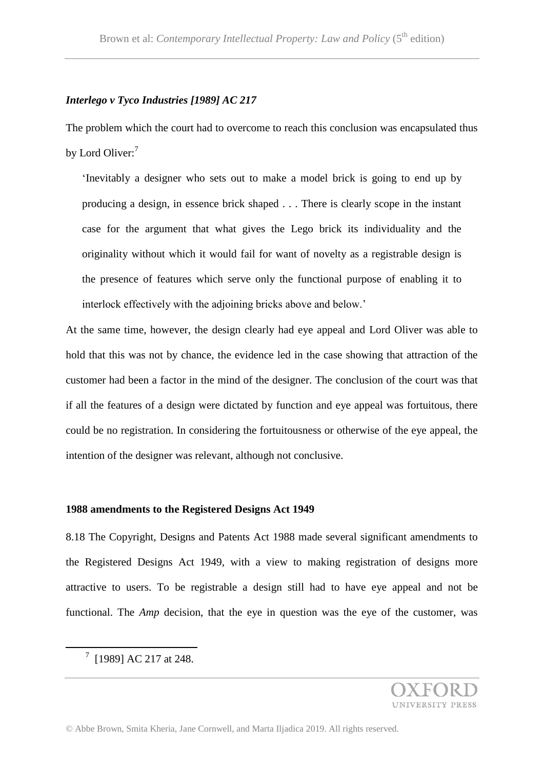# *Interlego v Tyco Industries [1989] AC 217*

The problem which the court had to overcome to reach this conclusion was encapsulated thus by Lord Oliver:<sup>7</sup>

'Inevitably a designer who sets out to make a model brick is going to end up by producing a design, in essence brick shaped . . . There is clearly scope in the instant case for the argument that what gives the Lego brick its individuality and the originality without which it would fail for want of novelty as a registrable design is the presence of features which serve only the functional purpose of enabling it to interlock effectively with the adjoining bricks above and below.'

At the same time, however, the design clearly had eye appeal and Lord Oliver was able to hold that this was not by chance, the evidence led in the case showing that attraction of the customer had been a factor in the mind of the designer. The conclusion of the court was that if all the features of a design were dictated by function and eye appeal was fortuitous, there could be no registration. In considering the fortuitousness or otherwise of the eye appeal, the intention of the designer was relevant, although not conclusive.

### **1988 amendments to the Registered Designs Act 1949**

8.18 The Copyright, Designs and Patents Act 1988 made several significant amendments to the Registered Designs Act 1949, with a view to making registration of designs more attractive to users. To be registrable a design still had to have eye appeal and not be functional. The *Amp* decision, that the eye in question was the eye of the customer, was

1



 $(1989)$  AC 217 at 248.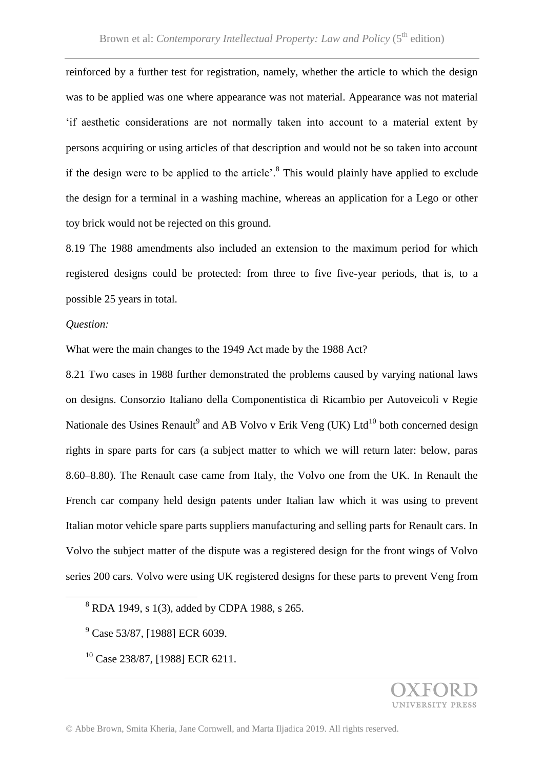reinforced by a further test for registration, namely, whether the article to which the design was to be applied was one where appearance was not material. Appearance was not material 'if aesthetic considerations are not normally taken into account to a material extent by persons acquiring or using articles of that description and would not be so taken into account if the design were to be applied to the article'.<sup>8</sup> This would plainly have applied to exclude the design for a terminal in a washing machine, whereas an application for a Lego or other toy brick would not be rejected on this ground.

8.19 The 1988 amendments also included an extension to the maximum period for which registered designs could be protected: from three to five five-year periods, that is, to a possible 25 years in total.

## *Question:*

**.** 

What were the main changes to the 1949 Act made by the 1988 Act?

8.21 Two cases in 1988 further demonstrated the problems caused by varying national laws on designs. Consorzio Italiano della Componentistica di Ricambio per Autoveicoli v Regie Nationale des Usines Renault<sup>9</sup> and AB Volvo v Erik Veng (UK) Ltd<sup>10</sup> both concerned design rights in spare parts for cars (a subject matter to which we will return later: below, paras 8.60–8.80). The Renault case came from Italy, the Volvo one from the UK. In Renault the French car company held design patents under Italian law which it was using to prevent Italian motor vehicle spare parts suppliers manufacturing and selling parts for Renault cars. In Volvo the subject matter of the dispute was a registered design for the front wings of Volvo series 200 cars. Volvo were using UK registered designs for these parts to prevent Veng from

<sup>9</sup> Case 53/87, [1988] ECR 6039.

<sup>10</sup> Case 238/87, [1988] ECR 6211.



<sup>8</sup> RDA 1949, s 1(3), added by CDPA 1988, s 265.